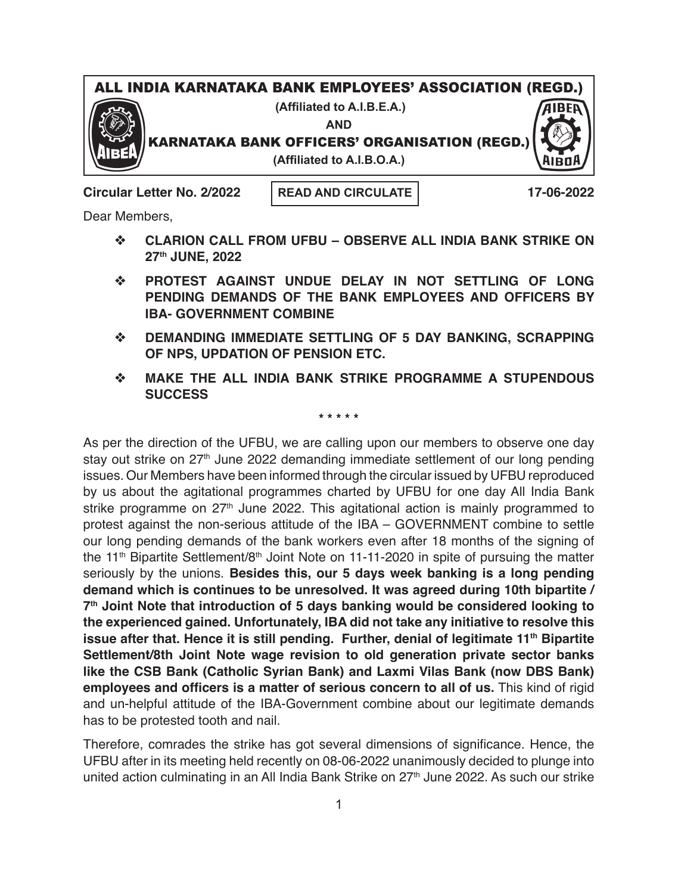## ALL INDIA KARNATAKA BANK EMPLOYEES' ASSOCIATION (REGD.)

**(Affiliated to A.I.B.E.A.)**

**AND**

KARNATAKA BANK OFFICERS' ORGANISATION (REGD.)



**(Affiliated to A.I.B.O.A.)**

**Circular Letter No. 2/2022 17-06-2022**

**READ AND CIRCULATE**

Dear Members,

- v **CLARION CALL FROM UFBU OBSERVE ALL INDIA BANK STRIKE ON 27th JUNE, 2022**
- v **PROTEST AGAINST UNDUE DELAY IN NOT SETTLING OF LONG PENDING DEMANDS OF THE BANK EMPLOYEES AND OFFICERS BY IBA- GOVERNMENT COMBINE**
- **EXAMPLE OF 5 DAY BANKING, SCRAPPING OF NPS, UPDATION OF PENSION ETC.**
- v **MAKE THE ALL INDIA BANK STRIKE PROGRAMME A STUPENDOUS SUCCESS**

## **\* \* \* \* \***

As per the direction of the UFBU, we are calling upon our members to observe one day stay out strike on 27<sup>th</sup> June 2022 demanding immediate settlement of our long pending issues. Our Members have been informed through the circular issued by UFBU reproduced by us about the agitational programmes charted by UFBU for one day All India Bank strike programme on  $27<sup>th</sup>$  June 2022. This agitational action is mainly programmed to protest against the non-serious attitude of the IBA – GOVERNMENT combine to settle our long pending demands of the bank workers even after 18 months of the signing of the 11<sup>th</sup> Bipartite Settlement/8<sup>th</sup> Joint Note on 11-11-2020 in spite of pursuing the matter seriously by the unions. **Besides this, our 5 days week banking is a long pending demand which is continues to be unresolved. It was agreed during 10th bipartite / 7th Joint Note that introduction of 5 days banking would be considered looking to the experienced gained. Unfortunately, IBA did not take any initiative to resolve this issue after that. Hence it is still pending. Further, denial of legitimate 11<sup>th</sup> Bipartite Settlement/8th Joint Note wage revision to old generation private sector banks like the CSB Bank (Catholic Syrian Bank) and Laxmi Vilas Bank (now DBS Bank) employees and officers is a matter of serious concern to all of us.** This kind of rigid and un-helpful attitude of the IBA-Government combine about our legitimate demands has to be protested tooth and nail.

Therefore, comrades the strike has got several dimensions of significance. Hence, the UFBU after in its meeting held recently on 08-06-2022 unanimously decided to plunge into united action culminating in an All India Bank Strike on 27<sup>th</sup> June 2022. As such our strike